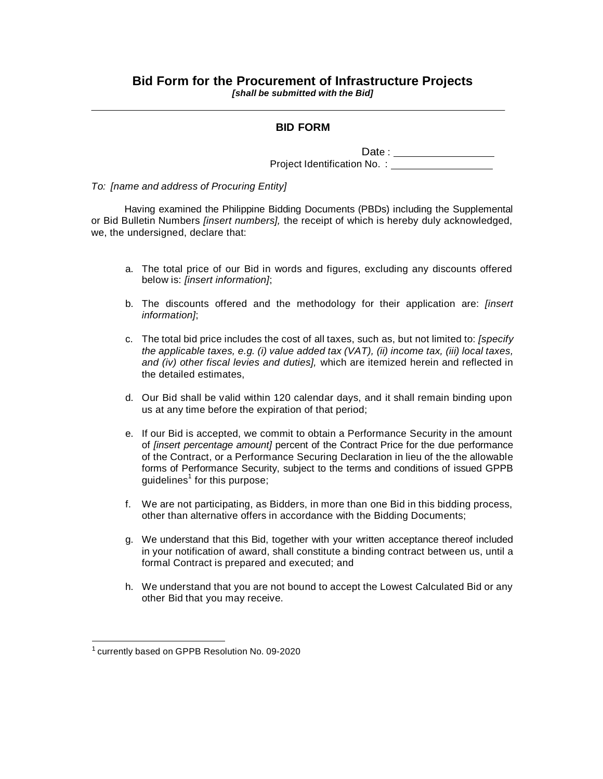#### **BID FORM**

Date : and the state of the state of the state of the state of the state of the state of the state of the state of the state of the state of the state of the state of the state of the state of the state of the state of the Project Identification No. :

*To: [name and address of Procuring Entity]*

Having examined the Philippine Bidding Documents (PBDs) including the Supplemental or Bid Bulletin Numbers *[insert numbers],* the receipt of which is hereby duly acknowledged, we, the undersigned, declare that:

- a. The total price of our Bid in words and figures, excluding any discounts offered below is: *[insert information]*;
- b. The discounts offered and the methodology for their application are: *[insert information]*;
- c. The total bid price includes the cost of all taxes, such as, but not limited to: *[specify the applicable taxes, e.g. (i) value added tax (VAT), (ii) income tax, (iii) local taxes, and (iv) other fiscal levies and duties],* which are itemized herein and reflected in the detailed estimates,
- d. Our Bid shall be valid within 120 calendar days, and it shall remain binding upon us at any time before the expiration of that period;
- e. If our Bid is accepted, we commit to obtain a Performance Security in the amount of *[insert percentage amount]* percent of the Contract Price for the due performance of the Contract, or a Performance Securing Declaration in lieu of the the allowable forms of Performance Security, subject to the terms and conditions of issued GPPB guidelines<sup>1</sup> for this purpose;
- f. We are not participating, as Bidders, in more than one Bid in this bidding process, other than alternative offers in accordance with the Bidding Documents;
- g. We understand that this Bid, together with your written acceptance thereof included in your notification of award, shall constitute a binding contract between us, until a formal Contract is prepared and executed; and
- h. We understand that you are not bound to accept the Lowest Calculated Bid or any other Bid that you may receive.

<sup>&</sup>lt;sup>1</sup> currently based on GPPB Resolution No. 09-2020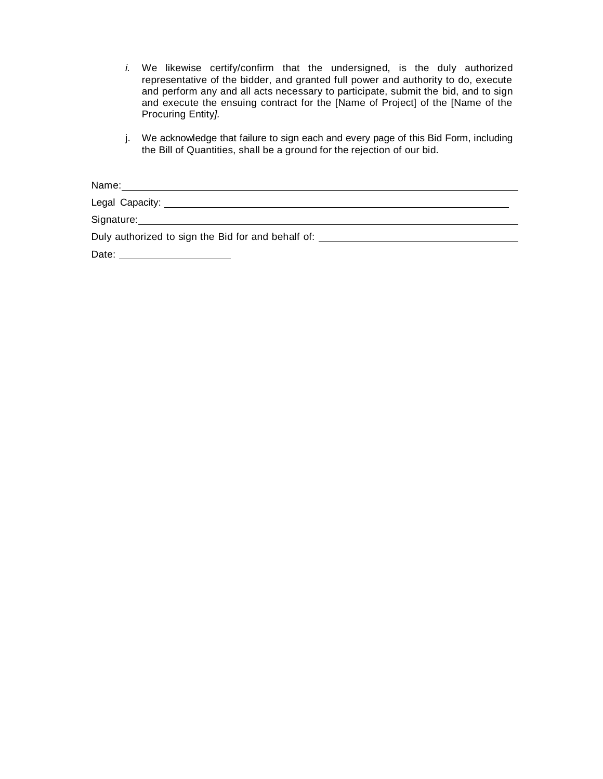- *i.* We likewise certify/confirm that the undersigned, is the duly authorized representative of the bidder, and granted full power and authority to do, execute and perform any and all acts necessary to participate, submit the bid, and to sign and execute the ensuing contract for the [Name of Project] of the [Name of the Procuring Entity*].*
- j. We acknowledge that failure to sign each and every page of this Bid Form, including the Bill of Quantities, shall be a ground for the rejection of our bid.

| Name:                                                                            |  |
|----------------------------------------------------------------------------------|--|
|                                                                                  |  |
|                                                                                  |  |
| Duly authorized to sign the Bid for and behalf of: _____________________________ |  |
| Date:                                                                            |  |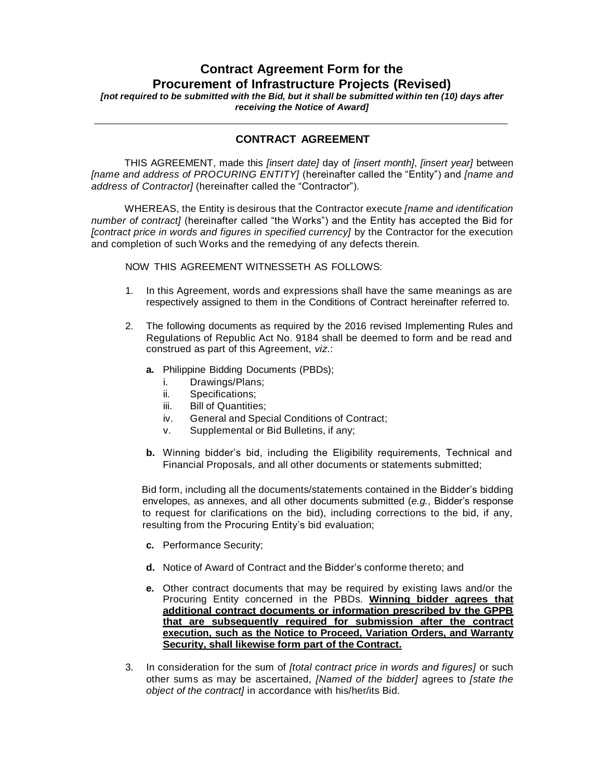# **Contract Agreement Form for the Procurement of Infrastructure Projects (Revised)**

*[not required to be submitted with the Bid, but it shall be submitted within ten (10) days after receiving the Notice of Award]*

### **CONTRACT AGREEMENT**

THIS AGREEMENT, made this *[insert date]* day of *[insert month]*, *[insert year]* between *[name and address of PROCURING ENTITY]* (hereinafter called the "Entity") and *[name and address of Contractor]* (hereinafter called the "Contractor").

WHEREAS, the Entity is desirous that the Contractor execute *[name and identification number of contract]* (hereinafter called "the Works") and the Entity has accepted the Bid for *[contract price in words and figures in specified currency]* by the Contractor for the execution and completion of such Works and the remedying of any defects therein.

NOW THIS AGREEMENT WITNESSETH AS FOLLOWS:

- 1. In this Agreement, words and expressions shall have the same meanings as are respectively assigned to them in the Conditions of Contract hereinafter referred to.
- 2. The following documents as required by the 2016 revised Implementing Rules and Regulations of Republic Act No. 9184 shall be deemed to form and be read and construed as part of this Agreement, *viz*.:
	- **a.** Philippine Bidding Documents (PBDs);
		- i. Drawings/Plans;
		- ii. Specifications;
		- iii. Bill of Quantities;
		- iv. General and Special Conditions of Contract;
		- v. Supplemental or Bid Bulletins, if any;
	- **b.** Winning bidder's bid, including the Eligibility requirements, Technical and Financial Proposals, and all other documents or statements submitted;

Bid form, including all the documents/statements contained in the Bidder's bidding envelopes, as annexes, and all other documents submitted (*e.g.*, Bidder's response to request for clarifications on the bid), including corrections to the bid, if any, resulting from the Procuring Entity's bid evaluation;

- **c.** Performance Security;
- **d.** Notice of Award of Contract and the Bidder's conforme thereto; and
- **e.** Other contract documents that may be required by existing laws and/or the Procuring Entity concerned in the PBDs. **Winning bidder agrees that additional contract documents or information prescribed by the GPPB that are subsequently required for submission after the contract execution, such as the Notice to Proceed, Variation Orders, and Warranty Security, shall likewise form part of the Contract.**
- 3. In consideration for the sum of *[total contract price in words and figures]* or such other sums as may be ascertained, *[Named of the bidder]* agrees to *[state the object of the contract]* in accordance with his/her/its Bid.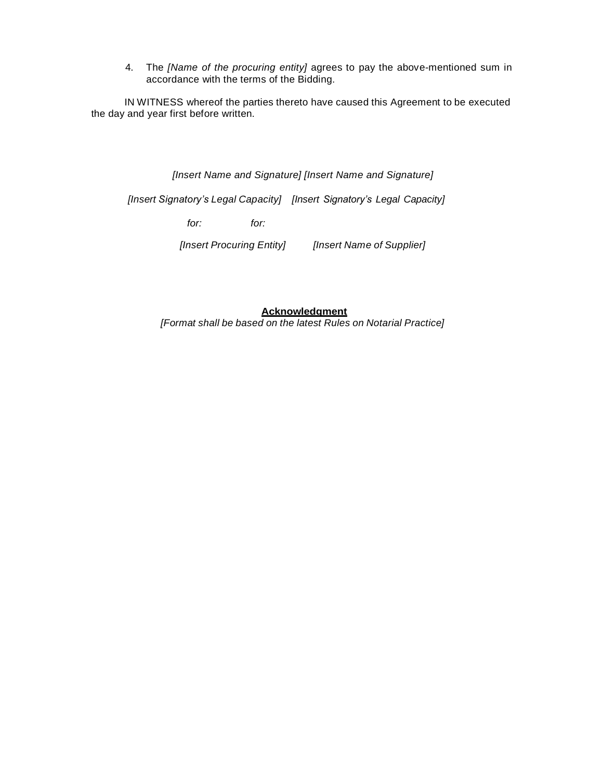4. The *[Name of the procuring entity]* agrees to pay the above-mentioned sum in accordance with the terms of the Bidding.

IN WITNESS whereof the parties thereto have caused this Agreement to be executed the day and year first before written.

*[Insert Name and Signature] [Insert Name and Signature]*

*[Insert Signatory's Legal Capacity] [Insert Signatory's Legal Capacity]*

*for: for:*

*[Insert Procuring Entity] [Insert Name of Supplier]*

**Acknowledgment** *[Format shall be based on the latest Rules on Notarial Practice]*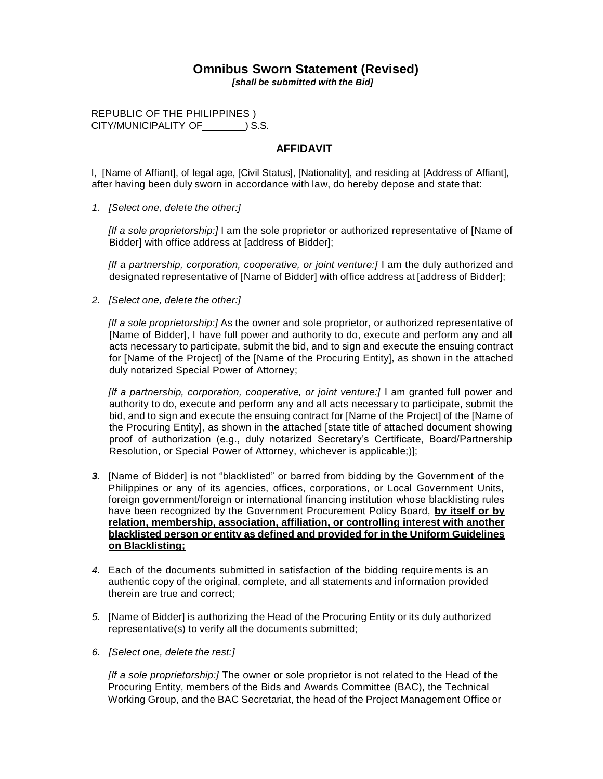*[shall be submitted with the Bid]*

REPUBLIC OF THE PHILIPPINES ) CITY/MUNICIPALITY OF  $\qquad$  ) S.S.

## **AFFIDAVIT**

I, [Name of Affiant], of legal age, [Civil Status], [Nationality], and residing at [Address of Affiant], after having been duly sworn in accordance with law, do hereby depose and state that:

*1. [Select one, delete the other:]*

*[If a sole proprietorship:]* I am the sole proprietor or authorized representative of [Name of Bidder] with office address at [address of Bidder];

*Iff a partnership, corporation, cooperative, or joint venture: [I am the duly authorized and* designated representative of [Name of Bidder] with office address at [address of Bidder];

*2. [Select one, delete the other:]*

*[If a sole proprietorship:]* As the owner and sole proprietor, or authorized representative of [Name of Bidder], I have full power and authority to do, execute and perform any and all acts necessary to participate, submit the bid, and to sign and execute the ensuing contract for [Name of the Project] of the [Name of the Procuring Entity], as shown in the attached duly notarized Special Power of Attorney;

*[If a partnership, corporation, cooperative, or joint venture:]* I am granted full power and authority to do, execute and perform any and all acts necessary to participate, submit the bid, and to sign and execute the ensuing contract for [Name of the Project] of the [Name of the Procuring Entity], as shown in the attached [state title of attached document showing proof of authorization (e.g., duly notarized Secretary's Certificate, Board/Partnership Resolution, or Special Power of Attorney, whichever is applicable;)];

- *3.* [Name of Bidder] is not "blacklisted" or barred from bidding by the Government of the Philippines or any of its agencies, offices, corporations, or Local Government Units, foreign government/foreign or international financing institution whose blacklisting rules have been recognized by the Government Procurement Policy Board, **by itself or by relation, membership, association, affiliation, or controlling interest with another blacklisted person or entity as defined and provided for in the Uniform Guidelines on Blacklisting;**
- *4.* Each of the documents submitted in satisfaction of the bidding requirements is an authentic copy of the original, complete, and all statements and information provided therein are true and correct;
- *5.* [Name of Bidder] is authorizing the Head of the Procuring Entity or its duly authorized representative(s) to verify all the documents submitted;
- *6. [Select one, delete the rest:]*

*[If a sole proprietorship:]* The owner or sole proprietor is not related to the Head of the Procuring Entity, members of the Bids and Awards Committee (BAC), the Technical Working Group, and the BAC Secretariat, the head of the Project Management Office or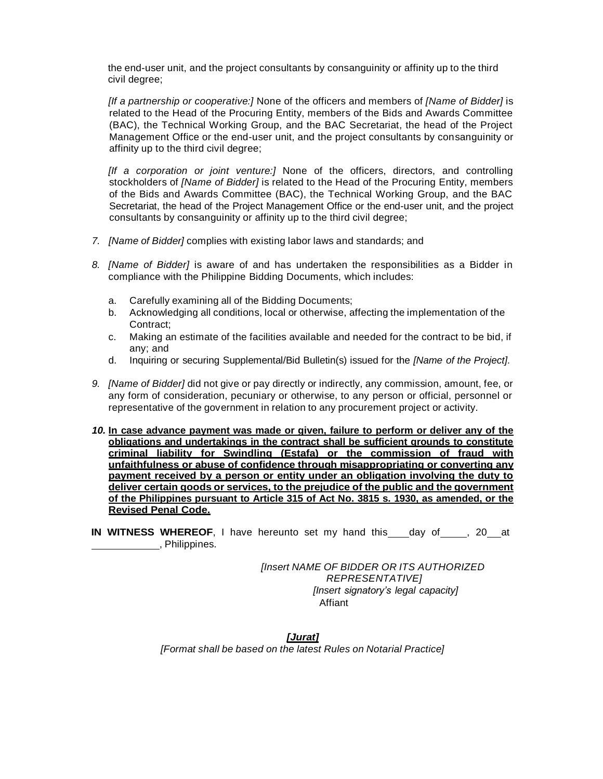the end-user unit, and the project consultants by consanguinity or affinity up to the third civil degree;

*[If a partnership or cooperative:]* None of the officers and members of *[Name of Bidder]* is related to the Head of the Procuring Entity, members of the Bids and Awards Committee (BAC), the Technical Working Group, and the BAC Secretariat, the head of the Project Management Office or the end-user unit, and the project consultants by consanguinity or affinity up to the third civil degree;

*[If a corporation or joint venture:]* None of the officers, directors, and controlling stockholders of *[Name of Bidder]* is related to the Head of the Procuring Entity, members of the Bids and Awards Committee (BAC), the Technical Working Group, and the BAC Secretariat, the head of the Project Management Office or the end-user unit, and the project consultants by consanguinity or affinity up to the third civil degree;

- *7. [Name of Bidder]* complies with existing labor laws and standards; and
- *8. [Name of Bidder]* is aware of and has undertaken the responsibilities as a Bidder in compliance with the Philippine Bidding Documents, which includes:
	- a. Carefully examining all of the Bidding Documents;
	- b. Acknowledging all conditions, local or otherwise, affecting the implementation of the Contract;
	- c. Making an estimate of the facilities available and needed for the contract to be bid, if any; and
	- d. Inquiring or securing Supplemental/Bid Bulletin(s) issued for the *[Name of the Project]*.
- *9. [Name of Bidder]* did not give or pay directly or indirectly, any commission, amount, fee, or any form of consideration, pecuniary or otherwise, to any person or official, personnel or representative of the government in relation to any procurement project or activity.
- *10.* **In case advance payment was made or given, failure to perform or deliver any of the obligations and undertakings in the contract shall be sufficient grounds to constitute criminal liability for Swindling (Estafa) or the commission of fraud with unfaithfulness or abuse of confidence through misappropriating or converting any payment received by a person or entity under an obligation involving the duty to deliver certain goods or services, to the prejudice of the public and the government of the Philippines pursuant to Article 315 of Act No. 3815 s. 1930, as amended, or the Revised Penal Code.**
- **IN WITNESS WHEREOF**, I have hereunto set my hand this day of , 20 at , Philippines.

*[Insert NAME OF BIDDER OR ITS AUTHORIZED REPRESENTATIVE] [Insert signatory's legal capacity]* Affiant

*[Jurat] [Format shall be based on the latest Rules on Notarial Practice]*